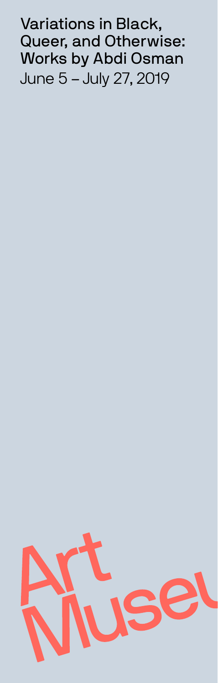Variations in Black, Queer, and Otherwise: Works by Abdi Osman June 5 – July 27, 2019

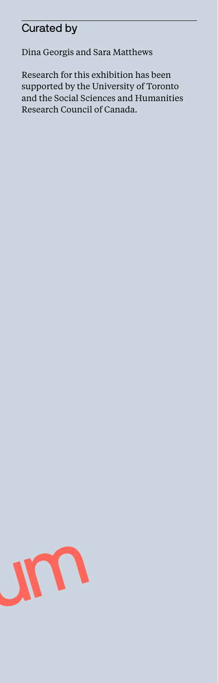# Curated by

Dina Georgis and Sara Matthews

Research for this exhibition has been supported by the University of Toronto and the Social Sciences and Humanities Research Council of Canada.

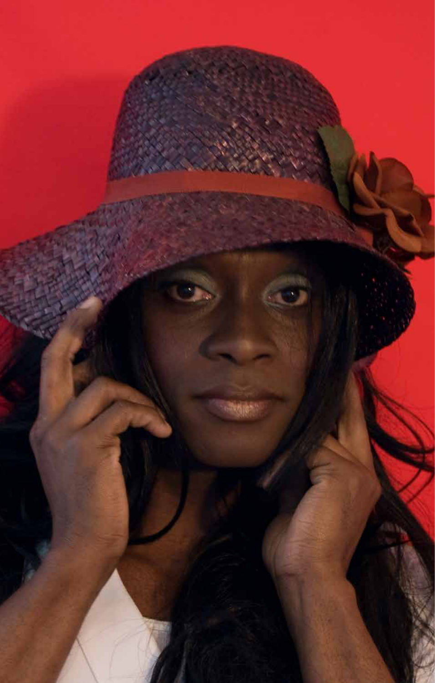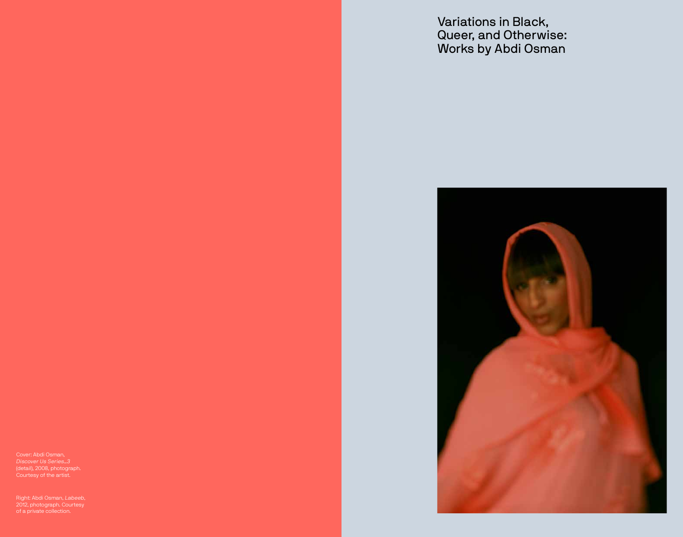Variations in Black, Queer, and Otherwise: Works by Abdi Osman



Cover: Abdi Osman,<br>*Discover Us Series...3*<br>(detail), 2008, photograph.<br>Courtesy of the artist.

Right: Abdi Osman, *Labeeb*,<br>2012, photograph. Courtesy<br>of a private collection.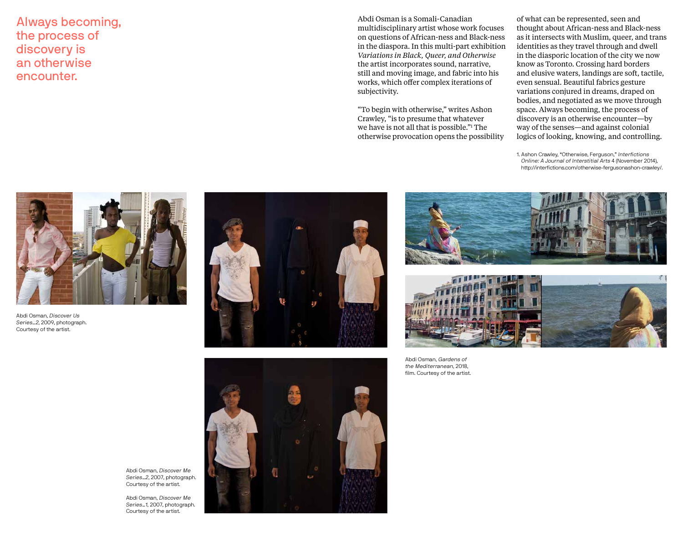Always becoming, the process of discovery is an otherwise encounter.

Abdi Osman is a Somali-Canadian multidisciplinary artist whose work focuses on questions of African-ness and Black-ness in the diaspora. In this multi-part exhibition *Variations in Black, Queer, and Otherwise* the artist incorporates sound, narrative, still and moving image, and fabric into his works, which offer complex iterations of subjectivity.

"To begin with otherwise," writes Ashon Crawley, "is to presume that whatever we have is not all that is possible."1 The otherwise provocation opens the possibility of what can be represented, seen and thought about African-ness and Black-ness as it intersects with Muslim, queer, and trans identities as they travel through and dwell in the diasporic location of the city we now know as Toronto. Crossing hard borders and elusive waters, landings are soft, tactile, even sensual. Beautiful fabrics gesture variations conjured in dreams, draped on bodies, and negotiated as we move through space. Always becoming, the process of discovery is an otherwise encounter—by way of the senses—and against colonial logics of looking, knowing, and controlling.

1. Ashon Crawley, "Otherwise, Ferguson," Interfictions Online: A Journal of Interstitial Arts 4 (November 2014), http://interfictions.com/otherwise-fergusonashon-crawley/.



Abdi Osman, Discover Us Series…2, 2009, photograph. Courtesy of the artist.









Abdi Osman, Gardens of the Mediterranean, 2018, film. Courtesy of the artist.

Abdi Osman, Discover Me Series…2, 2007, photograph. Courtesy of the artist.

Abdi Osman, Discover Me Series…1, 2007, photograph. Courtesy of the artist.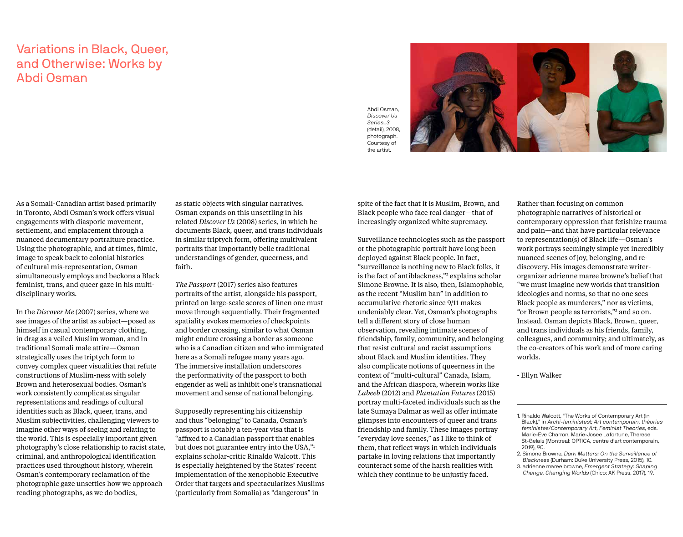# Variations in Black, Queer, and Otherwise: Works by Abdi Osman

As a Somali-Canadian artist based primarily in Toronto, Abdi Osman's work offers visual engagements with diasporic movement, settlement, and emplacement through a nuanced documentary portraiture practice. Using the photographic, and at times, filmic, image to speak back to colonial histories of cultural mis-representation, Osman simultaneously employs and beckons a Black feminist, trans, and queer gaze in his multidisciplinary works.

In the *Discover Me* (2007) series, where we see images of the artist as subject—posed as himself in casual contemporary clothing, in drag as a veiled Muslim woman, and in traditional Somali male attire—Osman strategically uses the triptych form to convey complex queer visualities that refute constructions of Muslim-ness with solely Brown and heterosexual bodies. Osman's work consistently complicates singular representations and readings of cultural identities such as Black, queer, trans, and Muslim subjectivities, challenging viewers to imagine other ways of seeing and relating to the world. This is especially important given photography's close relationship to racist state, criminal, and anthropological identification practices used throughout history, wherein Osman's contemporary reclamation of the photographic gaze unsettles how we approach reading photographs, as we do bodies,

as static objects with singular narratives. Osman expands on this unsettling in his related *Discover Us* (2008) series, in which he documents Black, queer, and trans individuals in similar triptych form, offering multivalent portraits that importantly belie traditional understandings of gender, queerness, and faith.

*The Passport* (2017) series also features portraits of the artist, alongside his passport, printed on large-scale scores of linen one must move through sequentially. Their fragmented spatiality evokes memories of checkpoints and border crossing, similar to what Osman might endure crossing a border as someone who is a Canadian citizen and who immigrated here as a Somali refugee many years ago. The immersive installation underscores the performativity of the passport to both engender as well as inhibit one's transnational movement and sense of national belonging.

Supposedly representing his citizenship and thus "belonging" to Canada, Osman's passport is notably a ten-year visa that is "affixed to a Canadian passport that enables but does not guarantee entry into the USA,"1 explains scholar-critic Rinaldo Walcott. This is especially heightened by the States' recent implementation of the xenophobic Executive Order that targets and spectacularizes Muslims (particularly from Somalia) as "dangerous" in

spite of the fact that it is Muslim, Brown, and Black people who face real danger—that of increasingly organized white supremacy.

Surveillance technologies such as the passport or the photographic portrait have long been deployed against Black people. In fact, "surveillance is nothing new to Black folks, it is the fact of antiblackness,"2 explains scholar Simone Browne. It is also, then, Islamophobic, as the recent "Muslim ban" in addition to accumulative rhetoric since 9/11 makes undeniably clear. Yet, Osman's photographs tell a different story of close human observation, revealing intimate scenes of friendship, family, community, and belonging that resist cultural and racist assumptions about Black and Muslim identities. They also complicate notions of queerness in the context of "multi-cultural" Canada, Islam, and the African diaspora, wherein works like *Labeeb* (2012) and *Plantation Futures* (2015) portray multi-faceted individuals such as the late Sumaya Dalmar as well as offer intimate glimpses into encounters of queer and trans friendship and family. These images portray "everyday love scenes," as I like to think of them, that reflect ways in which individuals partake in loving relations that importantly counteract some of the harsh realities with which they continue to be unjustly faced.

Rather than focusing on common photographic narratives of historical or contemporary oppression that fetishize trauma and pain—and that have particular relevance to representation(s) of Black life—Osman's work portrays seemingly simple yet incredibly nuanced scenes of joy, belonging, and rediscovery. His images demonstrate writerorganizer adrienne maree browne's belief that "we must imagine new worlds that transition ideologies and norms, so that no one sees Black people as murderers," nor as victims, "or Brown people as terrorists,"3 and so on. Instead, Osman depicts Black, Brown, queer, and trans individuals as his friends, family, colleagues, and community; and ultimately, as the co-creators of his work and of more caring worlds.

- Ellyn Walker



<sup>1.</sup> Rinaldo Walcott, "The Works of Contemporary Art (In Black)," in Archi-feministes!; Art contemporain, théories feministes/Contemporary Art, Feminist Theories, eds. Marie-Eve Charron, Marie-Josee Lafortune, Therese St-Gelais (Montreal: OPTICA, centre d'art contemporain, 2019), 90.

<sup>2.</sup> Simone Browne, Dark Matters: On the Surveillance of Blackness (Durham: Duke University Press, 2015), 10.

<sup>3.</sup> adrienne maree browne, Emergent Strategy: Shaping Change, Changing Worlds (Chico: AK Press, 2017), 19.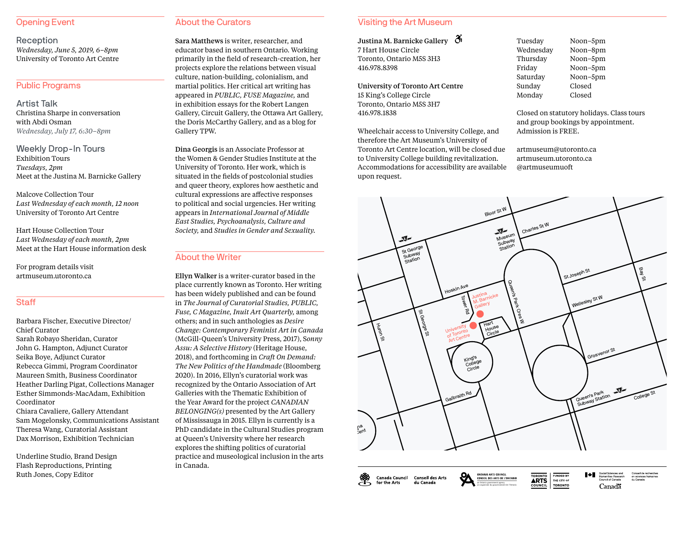## Opening Event

**Reception** *Wednesday, June 5, 2019, 6–8pm* University of Toronto Art Centre

#### Public Programs

Artist Talk Christina Sharpe in conversation with Abdi Osman *Wednesday, July 17, 6:30–8pm*

Weekly Drop-In Tours Exhibition Tours *Tuesdays, 2pm* Meet at the Justina M. Barnicke Gallery

Malcove Collection Tour *Last Wednesday of each month, 12 noon* University of Toronto Art Centre

Hart House Collection Tour *Last Wednesday of each month, 2pm* Meet at the Hart House information desk

For program details visit artmuseum.utoronto.ca

### **Staff**

Barbara Fischer, Executive Director/ Chief Curator Sarah Robayo Sheridan, Curator John G. Hampton, Adjunct Curator Seika Boye, Adjunct Curator Rebecca Gimmi, Program Coordinator Maureen Smith, Business Coordinator Heather Darling Pigat, Collections Manager Esther Simmonds-MacAdam, Exhibition Coordinator

Chiara Cavaliere, Gallery Attendant Sam Mogelonsky, Communications Assistant Theresa Wang, Curatorial Assistant Dax Morrison, Exhibition Technician

Underline Studio, Brand Design Flash Reproductions, Printing Ruth Jones, Copy Editor

Sara Matthews is writer, researcher, and educator based in southern Ontario. Working primarily in the field of research-creation, her projects explore the relations between visual culture, nation-building, colonialism, and martial politics. Her critical art writing has appeared in *PUBLIC, FUSE Magazine,* and in exhibition essays for the Robert Langen Gallery, Circuit Gallery, the Ottawa Art Gallery, the Doris McCarthy Gallery, and as a blog for Gallery TPW.

Dina Georgis is an Associate Professor at the Women & Gender Studies Institute at the University of Toronto. Her work, which is situated in the fields of postcolonial studies and queer theory, explores how aesthetic and cultural expressions are affective responses to political and social urgencies. Her writing appears in *International Journal of Middle East Studies, Psychoanalysis, Culture and Society,* and *Studies in Gender and Sexuality.* 

#### About the Writer

Ellyn Walker is a writer-curator based in the place currently known as Toronto. Her writing has been widely published and can be found in *The Journal of Curatorial Studies, PUBLIC, Fuse, C Magazine, Inuit Art Quarterly,* among others; and in such anthologies as *Desire Change: Contemporary Feminist Art in Canada*  (McGill-Queen's University Press, 2017), S*onny Assu: A Selective History* (Heritage House, 2018), and forthcoming in *Craft On Demand: The New Politics of the Handmade* (Bloomberg 2020). In 2016, Ellyn's curatorial work was recognized by the Ontario Association of Art Galleries with the Thematic Exhibition of the Year Award for the project *CANADIAN BELONGING(s)* presented by the Art Gallery of Mississauga in 2015. Ellyn is currently is a PhD candidate in the Cultural Studies program at Queen's University where her research explores the shifting politics of curatorial practice and museological inclusion in the arts in Canada.

# About the Curators **Visiting the Art Museum**

Justina M. Barnicke Gallery  $\mathfrak{F}$ 7 Hart House Circle Toronto, Ontario M5S 3H3 416.978.8398

University of Toronto Art Centre 15 King's College Circle Toronto, Ontario M5S 3H7 416.978.1838

Wheelchair access to University College, and therefore the Art Museum's University of Toronto Art Centre location, will be closed due to University College building revitalization. Accommodations for accessibility are available upon request.

| Tuesday   | Noon-5pm |
|-----------|----------|
| Wednesday | Noon-8pm |
| Thursday  | Noon-5pm |
| Friday    | Noon-5pm |
| Saturday  | Noon-5pm |
| Sunday    | Closed   |
| Monday    | Closed   |

Closed on statutory holidays. Class tours and group bookings by appointment. Admission is FREE.

artmuseum@utoronto.ca artmuseum.utoronto.ca @artmuseumuoft



un organisme du gouvernement de l'Ontario